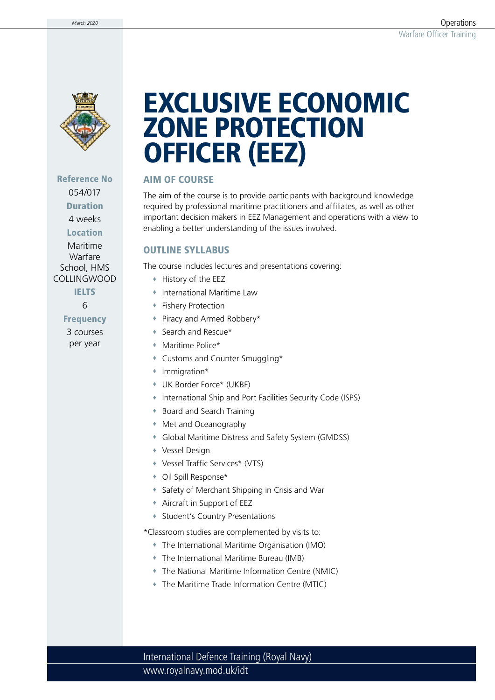

Reference No 054/017 Duration

4 weeks

Location

Maritime Warfare School, HMS COLLINGWOOD

**IELTS** 

6

Frequency 3 courses per year

# EXCLUSIVE ECONOMIC ZONE PROTECTION OFFICER (EEZ)

### AIM OF COURSE

The aim of the course is to provide participants with background knowledge required by professional maritime practitioners and affiliates, as well as other important decision makers in EEZ Management and operations with a view to enabling a better understanding of the issues involved.

### OUTLINE SYLLABUS

The course includes lectures and presentations covering:

- History of the EEZ
- International Maritime Law
- Fishery Protection
- Piracy and Armed Robbery\*
- Search and Rescue\*
- Maritime Police\*
- Customs and Counter Smuggling\*
- Immigration\*
- UK Border Force\* (UKBF)
- International Ship and Port Facilities Security Code (ISPS)
- Board and Search Training
- Met and Oceanography
- Global Maritime Distress and Safety System (GMDSS)
- Vessel Design
- Vessel Traffic Services\* (VTS)
- Oil Spill Response\*
- Safety of Merchant Shipping in Crisis and War
- Aircraft in Support of EEZ
- **\*** Student's Country Presentations

\*Classroom studies are complemented by visits to:

- The International Maritime Organisation (IMO)
- The International Maritime Bureau (IMB)
- The National Maritime Information Centre (NMIC)
- The Maritime Trade Information Centre (MTIC)

www.royalnavy.mod.uk/idt International Defence Training (Royal Navy)